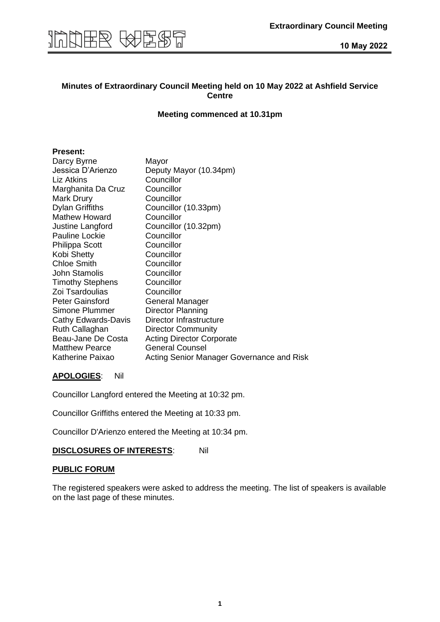

# **Minutes of Extraordinary Council Meeting held on 10 May 2022 at Ashfield Service Centre**

**Meeting commenced at 10.31pm**

## **Present:**

| Darcy Byrne             | Mayor                                     |
|-------------------------|-------------------------------------------|
| Jessica D'Arienzo       | Deputy Mayor (10.34pm)                    |
| Liz Atkins              | Councillor                                |
| Marghanita Da Cruz      | Councillor                                |
| Mark Drury              | Councillor                                |
| <b>Dylan Griffiths</b>  | Councillor (10.33pm)                      |
| <b>Mathew Howard</b>    | Councillor                                |
| Justine Langford        | Councillor (10.32pm)                      |
| <b>Pauline Lockie</b>   | Councillor                                |
| <b>Philippa Scott</b>   | Councillor                                |
| Kobi Shetty             | Councillor                                |
| <b>Chloe Smith</b>      | Councillor                                |
| <b>John Stamolis</b>    | Councillor                                |
| <b>Timothy Stephens</b> | Councillor                                |
| Zoi Tsardoulias         | Councillor                                |
| <b>Peter Gainsford</b>  | General Manager                           |
| Simone Plummer          | Director Planning                         |
| Cathy Edwards-Davis     | Director Infrastructure                   |
| Ruth Callaghan          | <b>Director Community</b>                 |
| Beau-Jane De Costa      | <b>Acting Director Corporate</b>          |
| <b>Matthew Pearce</b>   | <b>General Counsel</b>                    |
| Katherine Paixao        | Acting Senior Manager Governance and Risk |

## **APOLOGIES**: Nil

Councillor Langford entered the Meeting at 10:32 pm.

Councillor Griffiths entered the Meeting at 10:33 pm.

Councillor D'Arienzo entered the Meeting at 10:34 pm.

## **DISCLOSURES OF INTERESTS**: Nil

## **PUBLIC FORUM**

The registered speakers were asked to address the meeting. The list of speakers is available on the last page of these minutes.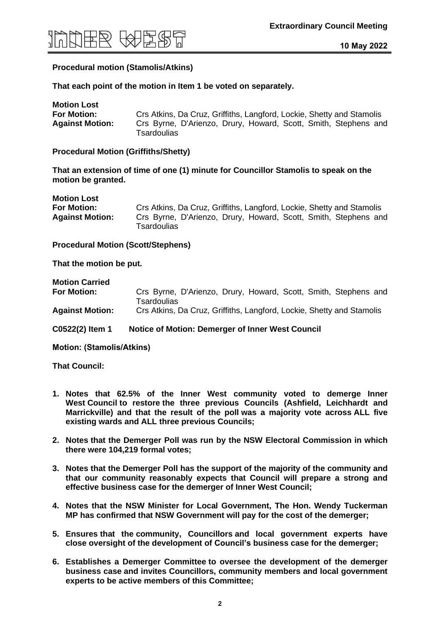

**10 May 2022**

## **Procedural motion (Stamolis/Atkins)**

#### **That each point of the motion in Item 1 be voted on separately.**

| <b>Motion Lost</b>     |                                                                                |
|------------------------|--------------------------------------------------------------------------------|
| <b>For Motion:</b>     | Crs Atkins, Da Cruz, Griffiths, Langford, Lockie, Shetty and Stamolis          |
| <b>Against Motion:</b> | Crs Byrne, D'Arienzo, Drury, Howard, Scott, Smith, Stephens and<br>Tsardoulias |

**Procedural Motion (Griffiths/Shetty)**

**That an extension of time of one (1) minute for Councillor Stamolis to speak on the motion be granted.** 

| <b>Motion Lost</b>     |                                                                                |
|------------------------|--------------------------------------------------------------------------------|
| <b>For Motion:</b>     | Crs Atkins, Da Cruz, Griffiths, Langford, Lockie, Shetty and Stamolis          |
| <b>Against Motion:</b> | Crs Byrne, D'Arienzo, Drury, Howard, Scott, Smith, Stephens and<br>Tsardoulias |

**Procedural Motion (Scott/Stephens)**

**That the motion be put.**

**Motion Carried For Motion:** Crs Byrne, D'Arienzo, Drury, Howard, Scott, Smith, Stephens and **Tsardoulias Against Motion:** Crs Atkins, Da Cruz, Griffiths, Langford, Lockie, Shetty and Stamolis **C0522(2) Item 1 Notice of Motion: Demerger of Inner West Council**

**Motion: (Stamolis/Atkins)**

**That Council:**

- **1. Notes that 62.5% of the Inner West community voted to demerge Inner West Council to restore the three previous Councils (Ashfield, Leichhardt and Marrickville) and that the result of the poll was a majority vote across ALL five existing wards and ALL three previous Councils;**
- **2. Notes that the Demerger Poll was run by the NSW Electoral Commission in which there were 104,219 formal votes;**
- **3. Notes that the Demerger Poll has the support of the majority of the community and that our community reasonably expects that Council will prepare a strong and effective business case for the demerger of Inner West Council;**
- **4. Notes that the NSW Minister for Local Government, The Hon. Wendy Tuckerman MP has confirmed that NSW Government will pay for the cost of the demerger;**
- **5. Ensures that the community, Councillors and local government experts have close oversight of the development of Council's business case for the demerger;**
- **6. Establishes a Demerger Committee to oversee the development of the demerger business case and invites Councillors, community members and local government experts to be active members of this Committee;**